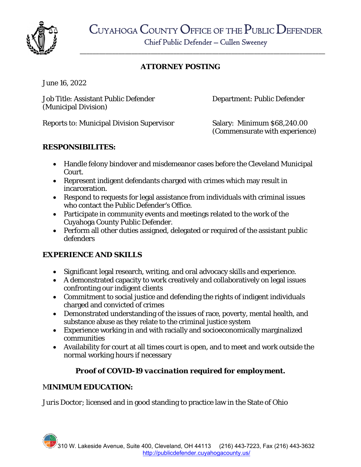

\_\_\_\_\_\_\_\_\_\_\_\_\_\_\_\_\_\_\_\_\_\_\_\_\_\_\_\_\_\_\_\_\_\_\_\_\_\_\_\_\_\_\_\_\_\_\_\_\_\_\_\_\_\_\_\_\_\_\_\_\_\_\_\_\_\_\_\_\_\_\_\_\_\_\_\_

## **ATTORNEY POSTING**

June 16, 2022

Job Title: Assistant Public Defender Department: Public Defender (Municipal Division)

Reports to: Municipal Division Supervisor Salary: Minimum \$68,240.00

(Commensurate with experience)

### **RESPONSIBILITES:**

- Handle felony bindover and misdemeanor cases before the Cleveland Municipal Court.
- Represent indigent defendants charged with crimes which may result in incarceration.
- Respond to requests for legal assistance from individuals with criminal issues who contact the Public Defender's Office.
- Participate in community events and meetings related to the work of the Cuyahoga County Public Defender.
- Perform all other duties assigned, delegated or required of the assistant public defenders

## **EXPERIENCE AND SKILLS**

- Significant legal research, writing, and oral advocacy skills and experience.
- A demonstrated capacity to work creatively and collaboratively on legal issues confronting our indigent clients
- Commitment to social justice and defending the rights of indigent individuals charged and convicted of crimes
- Demonstrated understanding of the issues of race, poverty, mental health, and substance abuse as they relate to the criminal justice system
- Experience working in and with racially and socioeconomically marginalized communities
- Availability for court at all times court is open, and to meet and work outside the normal working hours if necessary

# *Proof of COVID-19 vaccination required for employment.*

## M**INIMUM EDUCATION:**

*Juris Doctor*; licensed and in good standing to practice law in the State of Ohio